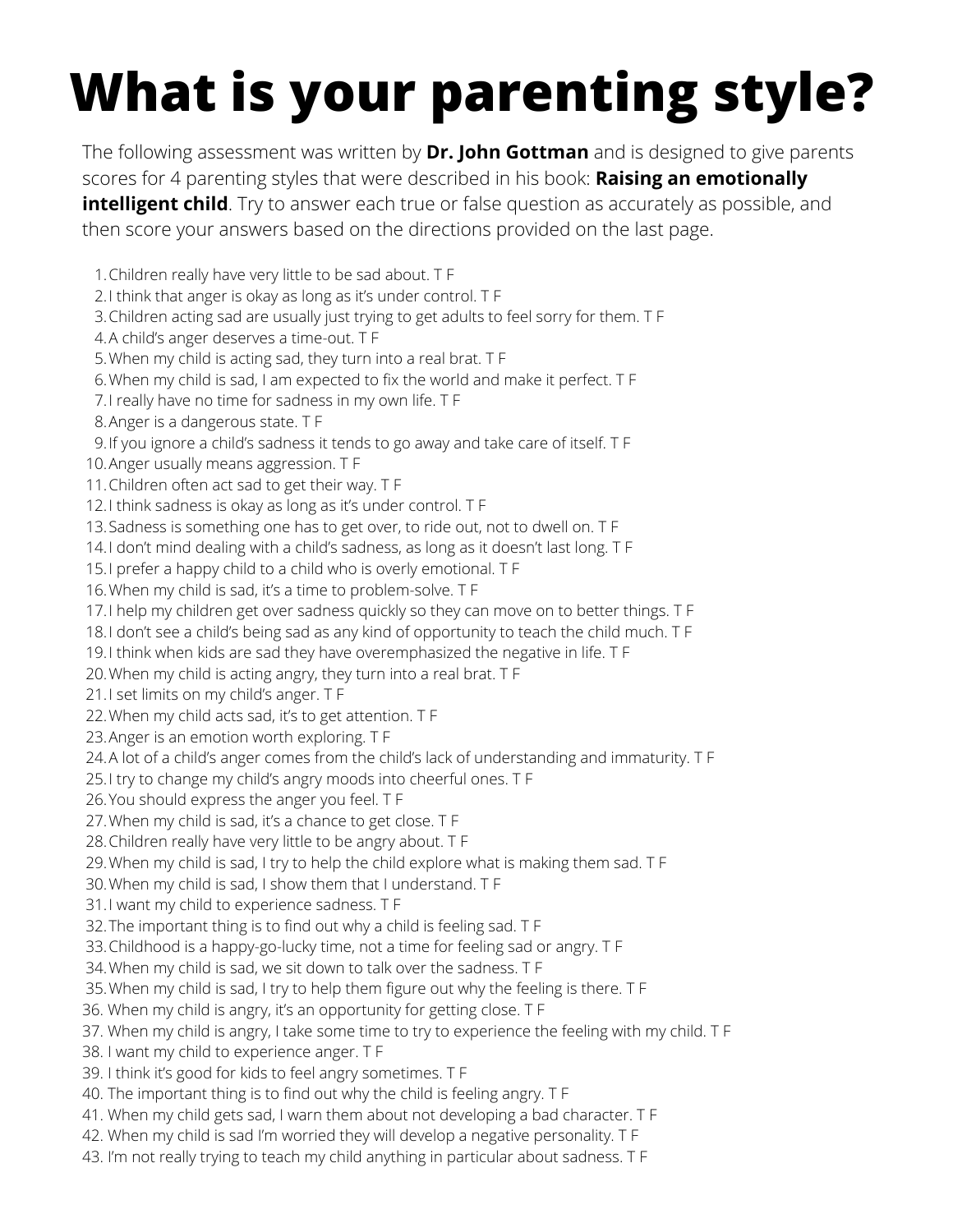# **What is your parenting style?**

The following assessment was written by **Dr. John Gottman** and is designed to give parents scores for 4 parenting styles that were described in his book: **Raising an emotionally intelligent child**. Try to answer each true or false question as accurately as possible, and then score your answers based on the directions provided on the last page.

Children really have very little to be sad about. T F 1.

2.I think that anger is okay as long as it's under control. T F

Children acting sad are usually just trying to get adults to feel sorry for them. T F 3.

A child's anger deserves a time-out. T F 4.

When my child is acting sad, they turn into a real brat. T F 5.

When my child is sad, I am expected to fix the world and make it perfect. T F 6.

7.I really have no time for sadness in my own life. T F

Anger is a dangerous state. T F 8.

If you ignore a child's sadness it tends to go away and take care of itself. T F 9.

Anger usually means aggression. T F 10.

11. Children often act sad to get their way. T F

12.I think sadness is okay as long as it's under control. T F

13.Sadness is something one has to get over, to ride out, not to dwell on. T F

I don't mind dealing with a child's sadness, as long as it doesn't last long. T F 14.

15.I prefer a happy child to a child who is overly emotional. T F

16. When my child is sad, it's a time to problem-solve. T F

I help my children get over sadness quickly so they can move on to better things. T F 17.

I don't see a child's being sad as any kind of opportunity to teach the child much. T F 18.

19.I think when kids are sad they have overemphasized the negative in life. T F

When my child is acting angry, they turn into a real brat. T F 20.

21.I set limits on my child's anger. T F

22. When my child acts sad, it's to get attention. T F

23. Anger is an emotion worth exploring. T F

24.A lot of a child's anger comes from the child's lack of understanding and immaturity. T F

25.I try to change my child's angry moods into cheerful ones. T F

26. You should express the anger you feel. T F

- When my child is sad, it's a chance to get close. T F 27.
- 28. Children really have very little to be angry about. T F

When my child is sad, I try to help the child explore what is making them sad. T F 29.

When my child is sad, I show them that I understand. T F 30.

31.I want my child to experience sadness. T F

32. The important thing is to find out why a child is feeling sad. T F

33. Childhood is a happy-go-lucky time, not a time for feeling sad or angry. T F

When my child is sad, we sit down to talk over the sadness. T F 34.

When my child is sad, I try to help them figure out why the feeling is there. T F 35.

36. When my child is angry, it's an opportunity for getting close. T F

37. When my child is angry, I take some time to try to experience the feeling with my child. T F

38. I want my child to experience anger. T F

39. I think it's good for kids to feel angry sometimes. T F

- 40. The important thing is to find out why the child is feeling angry. T F
- 41. When my child gets sad, I warn them about not developing a bad character. T F
- 42. When my child is sad I'm worried they will develop a negative personality. T F
- 43. I'm not really trying to teach my child anything in particular about sadness. T F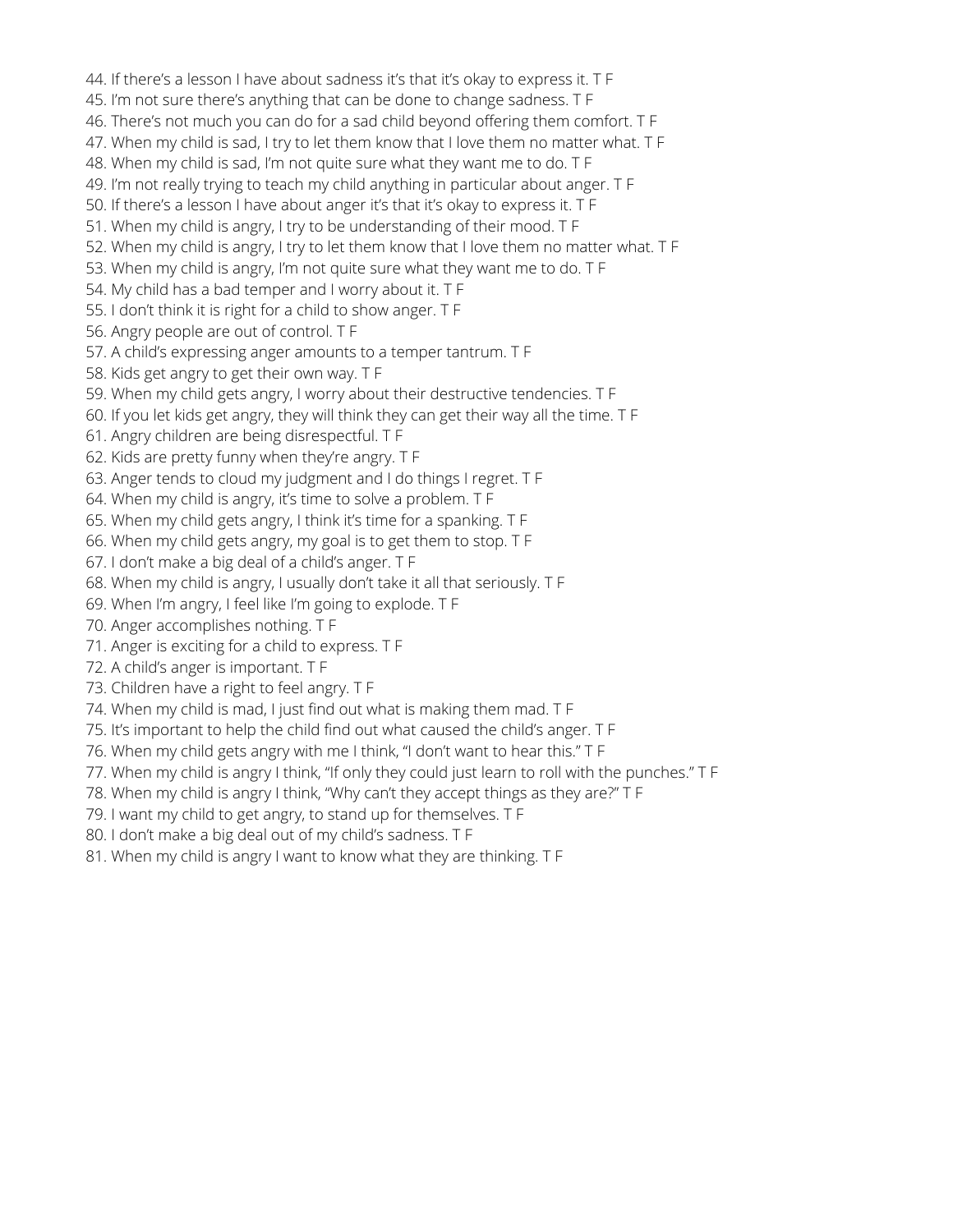44. If there's a lesson I have about sadness it's that it's okay to express it. T F

- 45. I'm not sure there's anything that can be done to change sadness. T F
- 46. There's not much you can do for a sad child beyond offering them comfort. T F
- 47. When my child is sad, I try to let them know that I love them no matter what. T F
- 48. When my child is sad, I'm not quite sure what they want me to do. T F
- 49. I'm not really trying to teach my child anything in particular about anger. T F
- 50. If there's a lesson I have about anger it's that it's okay to express it. T F
- 51. When my child is angry, I try to be understanding of their mood. T F
- 52. When my child is angry, I try to let them know that I love them no matter what. T F
- 53. When my child is angry, I'm not quite sure what they want me to do. T F
- 54. My child has a bad temper and I worry about it. T F
- 55. I don't think it is right for a child to show anger. T F
- 56. Angry people are out of control. T F
- 57. A child's expressing anger amounts to a temper tantrum. T F
- 58. Kids get angry to get their own way. T F
- 59. When my child gets angry, I worry about their destructive tendencies. T F
- 60. If you let kids get angry, they will think they can get their way all the time. T F
- 61. Angry children are being disrespectful. T F
- 62. Kids are pretty funny when they're angry. T F
- 63. Anger tends to cloud my judgment and I do things I regret. T F
- 64. When my child is angry, it's time to solve a problem. T F
- 65. When my child gets angry, I think it's time for a spanking. T F
- 66. When my child gets angry, my goal is to get them to stop. T F
- 67. I don't make a big deal of a child's anger. T F
- 68. When my child is angry, I usually don't take it all that seriously. T F
- 69. When I'm angry, I feel like I'm going to explode. T F
- 70. Anger accomplishes nothing. T F
- 71. Anger is exciting for a child to express. T F
- 72. A child's anger is important. T F
- 73. Children have a right to feel angry. T F
- 74. When my child is mad, I just find out what is making them mad. T F
- 75. It's important to help the child find out what caused the child's anger. T F
- 76. When my child gets angry with me I think, "I don't want to hear this." T F
- 77. When my child is angry I think, "If only they could just learn to roll with the punches." T F
- 78. When my child is angry I think, "Why can't they accept things as they are?" T F
- 79. I want my child to get angry, to stand up for themselves. T F
- 80. I don't make a big deal out of my child's sadness. T F
- 81. When my child is angry I want to know what they are thinking. T F